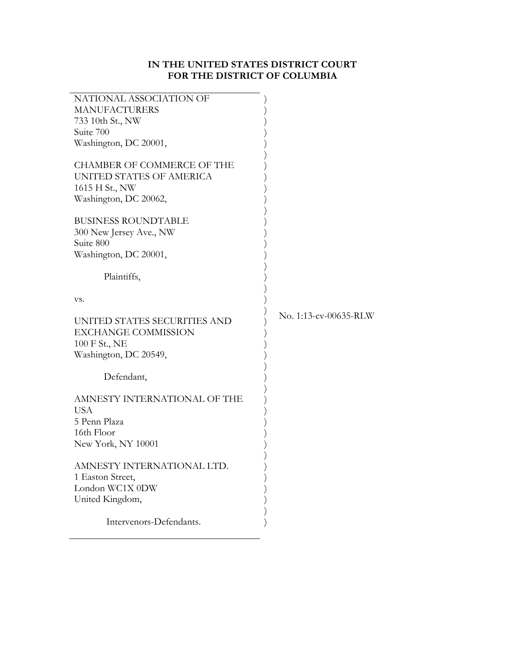# **IN THE UNITED STATES DISTRICT COURT FOR THE DISTRICT OF COLUMBIA**

| NATIONAL ASSOCIATION OF<br><b>MANUFACTURERS</b><br>733 10th St., NW<br>Suite 700<br>Washington, DC 20001,<br><b>CHAMBER OF COMMERCE OF THE</b><br>UNITED STATES OF AMERICA<br>1615 H St., NW<br>Washington, DC 20062, |                       |
|-----------------------------------------------------------------------------------------------------------------------------------------------------------------------------------------------------------------------|-----------------------|
| <b>BUSINESS ROUNDTABLE</b><br>300 New Jersey Ave., NW<br>Suite 800<br>Washington, DC 20001,<br>Plaintiffs,                                                                                                            |                       |
|                                                                                                                                                                                                                       |                       |
| VS.                                                                                                                                                                                                                   |                       |
| UNITED STATES SECURITIES AND                                                                                                                                                                                          | No. 1:13-cv-00635-RLW |
| <b>EXCHANGE COMMISSION</b><br>100 F St., NE<br>Washington, DC 20549,                                                                                                                                                  |                       |
| Defendant,                                                                                                                                                                                                            |                       |
| AMNESTY INTERNATIONAL OF THE<br><b>USA</b><br>5 Penn Plaza<br>16th Floor<br>New York, NY 10001                                                                                                                        |                       |
| AMNESTY INTERNATIONAL LTD.<br>1 Easton Street,<br>London WC1X 0DW<br>United Kingdom,                                                                                                                                  |                       |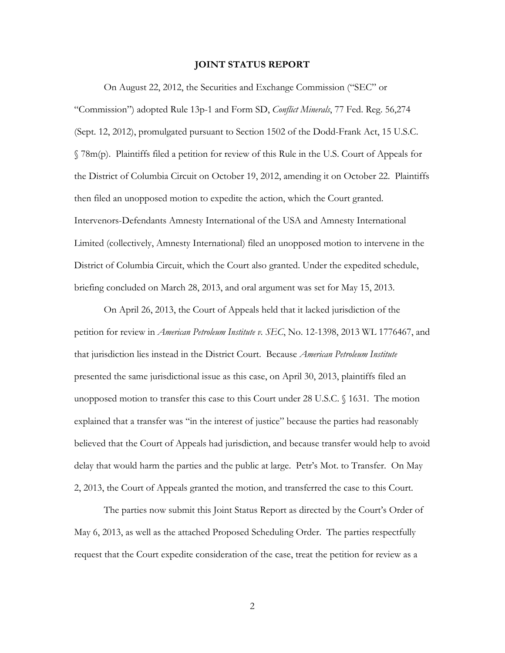#### **JOINT STATUS REPORT**

 On August 22, 2012, the Securities and Exchange Commission ("SEC" or "Commission") adopted Rule 13p-1 and Form SD, *Conflict Minerals*, 77 Fed. Reg. 56,274 (Sept. 12, 2012), promulgated pursuant to Section 1502 of the Dodd-Frank Act, 15 U.S.C. § 78m(p). Plaintiffs filed a petition for review of this Rule in the U.S. Court of Appeals for the District of Columbia Circuit on October 19, 2012, amending it on October 22. Plaintiffs then filed an unopposed motion to expedite the action, which the Court granted. Intervenors-Defendants Amnesty International of the USA and Amnesty International Limited (collectively, Amnesty International) filed an unopposed motion to intervene in the District of Columbia Circuit, which the Court also granted. Under the expedited schedule, briefing concluded on March 28, 2013, and oral argument was set for May 15, 2013.

 On April 26, 2013, the Court of Appeals held that it lacked jurisdiction of the petition for review in *American Petroleum Institute v. SEC*, No. 12-1398, 2013 WL 1776467, and that jurisdiction lies instead in the District Court. Because *American Petroleum Institute* presented the same jurisdictional issue as this case, on April 30, 2013, plaintiffs filed an unopposed motion to transfer this case to this Court under 28 U.S.C. § 1631. The motion explained that a transfer was "in the interest of justice" because the parties had reasonably believed that the Court of Appeals had jurisdiction, and because transfer would help to avoid delay that would harm the parties and the public at large. Petr's Mot. to Transfer. On May 2, 2013, the Court of Appeals granted the motion, and transferred the case to this Court.

 The parties now submit this Joint Status Report as directed by the Court's Order of May 6, 2013, as well as the attached Proposed Scheduling Order. The parties respectfully request that the Court expedite consideration of the case, treat the petition for review as a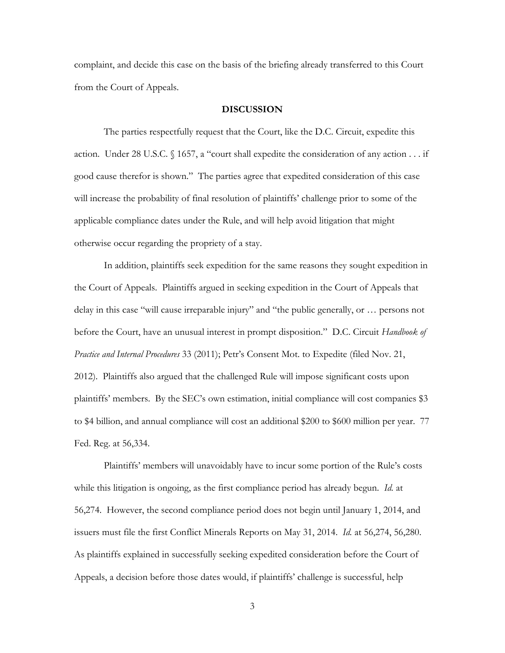complaint, and decide this case on the basis of the briefing already transferred to this Court from the Court of Appeals.

#### **DISCUSSION**

The parties respectfully request that the Court, like the D.C. Circuit, expedite this action. Under 28 U.S.C. § 1657, a "court shall expedite the consideration of any action . . . if good cause therefor is shown." The parties agree that expedited consideration of this case will increase the probability of final resolution of plaintiffs' challenge prior to some of the applicable compliance dates under the Rule, and will help avoid litigation that might otherwise occur regarding the propriety of a stay.

 In addition, plaintiffs seek expedition for the same reasons they sought expedition in the Court of Appeals. Plaintiffs argued in seeking expedition in the Court of Appeals that delay in this case "will cause irreparable injury" and "the public generally, or … persons not before the Court, have an unusual interest in prompt disposition." D.C. Circuit *Handbook of Practice and Internal Procedures* 33 (2011); Petr's Consent Mot. to Expedite (filed Nov. 21, 2012). Plaintiffs also argued that the challenged Rule will impose significant costs upon plaintiffs' members. By the SEC's own estimation, initial compliance will cost companies \$3 to \$4 billion, and annual compliance will cost an additional \$200 to \$600 million per year. 77 Fed. Reg. at 56,334.

 Plaintiffs' members will unavoidably have to incur some portion of the Rule's costs while this litigation is ongoing, as the first compliance period has already begun. *Id.* at 56,274. However, the second compliance period does not begin until January 1, 2014, and issuers must file the first Conflict Minerals Reports on May 31, 2014. *Id.* at 56,274, 56,280. As plaintiffs explained in successfully seeking expedited consideration before the Court of Appeals, a decision before those dates would, if plaintiffs' challenge is successful, help

3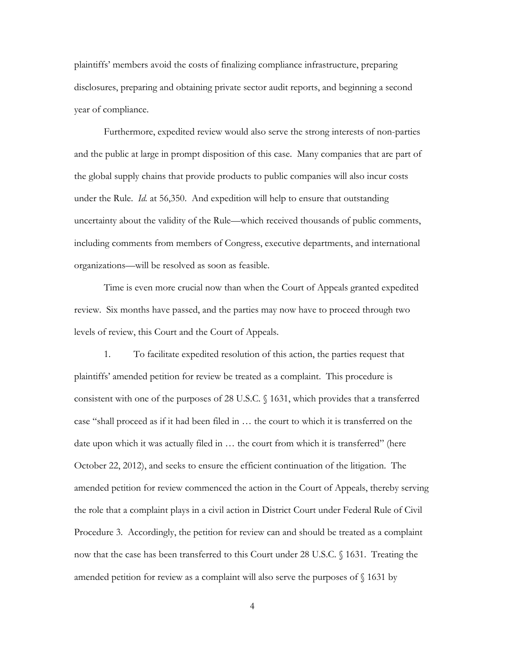plaintiffs' members avoid the costs of finalizing compliance infrastructure, preparing disclosures, preparing and obtaining private sector audit reports, and beginning a second year of compliance.

 Furthermore, expedited review would also serve the strong interests of non-parties and the public at large in prompt disposition of this case. Many companies that are part of the global supply chains that provide products to public companies will also incur costs under the Rule. *Id.* at 56,350. And expedition will help to ensure that outstanding uncertainty about the validity of the Rule—which received thousands of public comments, including comments from members of Congress, executive departments, and international organizations—will be resolved as soon as feasible.

 Time is even more crucial now than when the Court of Appeals granted expedited review. Six months have passed, and the parties may now have to proceed through two levels of review, this Court and the Court of Appeals.

 1. To facilitate expedited resolution of this action, the parties request that plaintiffs' amended petition for review be treated as a complaint. This procedure is consistent with one of the purposes of 28 U.S.C. § 1631, which provides that a transferred case "shall proceed as if it had been filed in … the court to which it is transferred on the date upon which it was actually filed in … the court from which it is transferred" (here October 22, 2012), and seeks to ensure the efficient continuation of the litigation. The amended petition for review commenced the action in the Court of Appeals, thereby serving the role that a complaint plays in a civil action in District Court under Federal Rule of Civil Procedure 3. Accordingly, the petition for review can and should be treated as a complaint now that the case has been transferred to this Court under 28 U.S.C. § 1631. Treating the amended petition for review as a complaint will also serve the purposes of § 1631 by

4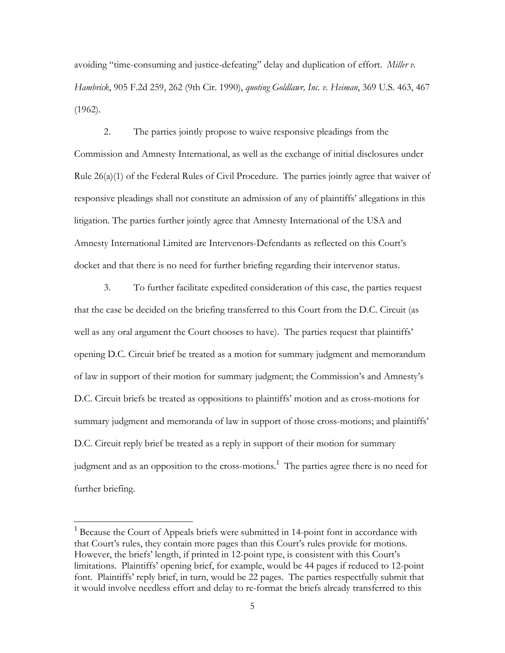avoiding "time-consuming and justice-defeating" delay and duplication of effort. *Miller v. Hambrick*, 905 F.2d 259, 262 (9th Cir. 1990), *quoting Goldlawr, Inc. v. Heiman*, 369 U.S. 463, 467 (1962).

 2. The parties jointly propose to waive responsive pleadings from the Commission and Amnesty International, as well as the exchange of initial disclosures under Rule 26(a)(1) of the Federal Rules of Civil Procedure. The parties jointly agree that waiver of responsive pleadings shall not constitute an admission of any of plaintiffs' allegations in this litigation. The parties further jointly agree that Amnesty International of the USA and Amnesty International Limited are Intervenors-Defendants as reflected on this Court's docket and that there is no need for further briefing regarding their intervenor status.

 3. To further facilitate expedited consideration of this case, the parties request that the case be decided on the briefing transferred to this Court from the D.C. Circuit (as well as any oral argument the Court chooses to have). The parties request that plaintiffs' opening D.C. Circuit brief be treated as a motion for summary judgment and memorandum of law in support of their motion for summary judgment; the Commission's and Amnesty's D.C. Circuit briefs be treated as oppositions to plaintiffs' motion and as cross-motions for summary judgment and memoranda of law in support of those cross-motions; and plaintiffs' D.C. Circuit reply brief be treated as a reply in support of their motion for summary judgment and as an opposition to the cross-motions.<sup>1</sup> The parties agree there is no need for further briefing.

 $\overline{a}$ 

<sup>&</sup>lt;sup>1</sup> Because the Court of Appeals briefs were submitted in 14-point font in accordance with that Court's rules, they contain more pages than this Court's rules provide for motions. However, the briefs' length, if printed in 12-point type, is consistent with this Court's limitations. Plaintiffs' opening brief, for example, would be 44 pages if reduced to 12-point font. Plaintiffs' reply brief, in turn, would be 22 pages. The parties respectfully submit that it would involve needless effort and delay to re-format the briefs already transferred to this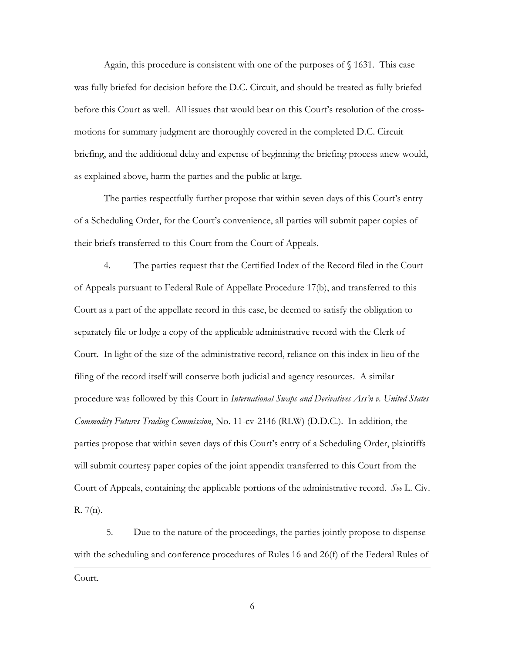Again, this procedure is consistent with one of the purposes of  $\S$  1631. This case was fully briefed for decision before the D.C. Circuit, and should be treated as fully briefed before this Court as well. All issues that would bear on this Court's resolution of the crossmotions for summary judgment are thoroughly covered in the completed D.C. Circuit briefing, and the additional delay and expense of beginning the briefing process anew would, as explained above, harm the parties and the public at large.

The parties respectfully further propose that within seven days of this Court's entry of a Scheduling Order, for the Court's convenience, all parties will submit paper copies of their briefs transferred to this Court from the Court of Appeals.

4. The parties request that the Certified Index of the Record filed in the Court of Appeals pursuant to Federal Rule of Appellate Procedure 17(b), and transferred to this Court as a part of the appellate record in this case, be deemed to satisfy the obligation to separately file or lodge a copy of the applicable administrative record with the Clerk of Court. In light of the size of the administrative record, reliance on this index in lieu of the filing of the record itself will conserve both judicial and agency resources. A similar procedure was followed by this Court in *International Swaps and Derivatives Ass'n v. United States Commodity Futures Trading Commission*, No. 11-cv-2146 (RLW) (D.D.C.). In addition, the parties propose that within seven days of this Court's entry of a Scheduling Order, plaintiffs will submit courtesy paper copies of the joint appendix transferred to this Court from the Court of Appeals, containing the applicable portions of the administrative record. *See* L. Civ. R. 7(n).

 5. Due to the nature of the proceedings, the parties jointly propose to dispense with the scheduling and conference procedures of Rules 16 and 26(f) of the Federal Rules of  $\overline{a}$ Court.

6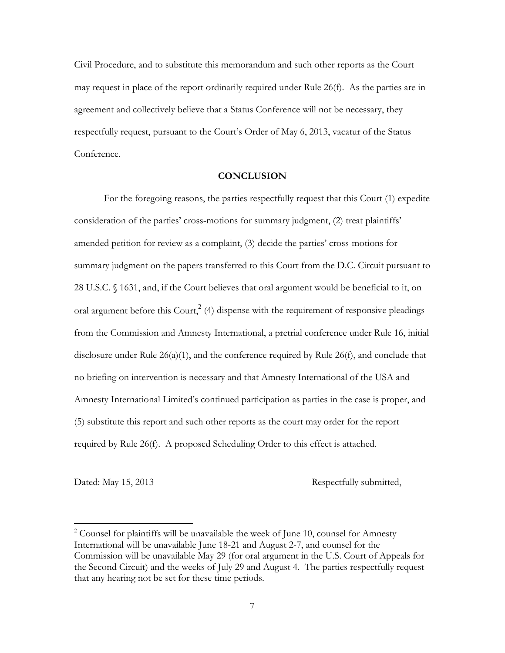Civil Procedure, and to substitute this memorandum and such other reports as the Court may request in place of the report ordinarily required under Rule 26(f). As the parties are in agreement and collectively believe that a Status Conference will not be necessary, they respectfully request, pursuant to the Court's Order of May 6, 2013, vacatur of the Status Conference.

### **CONCLUSION**

For the foregoing reasons, the parties respectfully request that this Court (1) expedite consideration of the parties' cross-motions for summary judgment, (2) treat plaintiffs' amended petition for review as a complaint, (3) decide the parties' cross-motions for summary judgment on the papers transferred to this Court from the D.C. Circuit pursuant to 28 U.S.C. § 1631, and, if the Court believes that oral argument would be beneficial to it, on oral argument before this Court,  $2^{(4)}$  dispense with the requirement of responsive pleadings from the Commission and Amnesty International, a pretrial conference under Rule 16, initial disclosure under Rule  $26(a)(1)$ , and the conference required by Rule  $26(f)$ , and conclude that no briefing on intervention is necessary and that Amnesty International of the USA and Amnesty International Limited's continued participation as parties in the case is proper, and (5) substitute this report and such other reports as the court may order for the report required by Rule 26(f). A proposed Scheduling Order to this effect is attached.

 $\overline{a}$ 

Dated: May 15, 2013 Respectfully submitted,

 $2^2$  Counsel for plaintiffs will be unavailable the week of June 10, counsel for Amnesty International will be unavailable June 18-21 and August 2-7, and counsel for the Commission will be unavailable May 29 (for oral argument in the U.S. Court of Appeals for the Second Circuit) and the weeks of July 29 and August 4. The parties respectfully request that any hearing not be set for these time periods.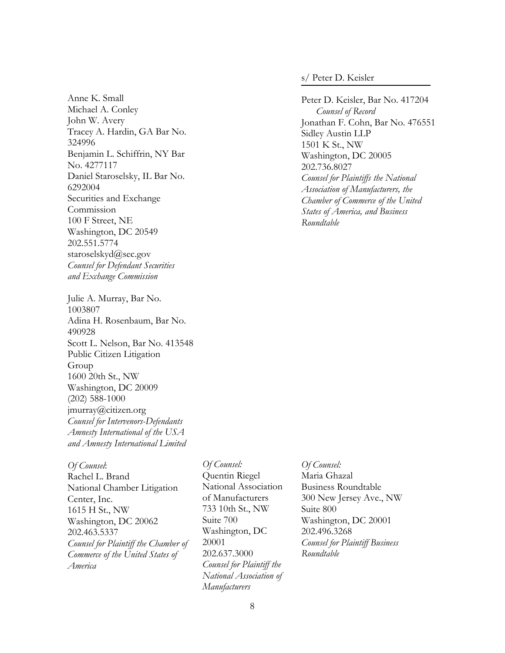Anne K. Small Michael A. Conley John W. Avery Tracey A. Hardin, GA Bar No. 324996 Benjamin L. Schiffrin, NY Bar No. 4277117 Daniel Staroselsky, IL Bar No. 6292004 Securities and Exchange Commission 100 F Street, NE Washington, DC 20549 202.551.5774 staroselskyd@sec.gov *Counsel for Defendant Securities and Exchange Commission* 

Julie A. Murray, Bar No. 1003807 Adina H. Rosenbaum, Bar No. 490928 Scott L. Nelson, Bar No. 413548 Public Citizen Litigation Group 1600 20th St., NW Washington, DC 20009 (202) 588-1000 jmurray@citizen.org *Counsel for Intervenors-Defendants Amnesty International of the USA and Amnesty International Limited*

*Of Counsel*: Rachel L. Brand National Chamber Litigation Center, Inc. 1615 H St., NW Washington, DC 20062 202.463.5337 *Counsel for Plaintiff the Chamber of Commerce of the United States of America* 

### *Of Counsel:*  Quentin Riegel National Association of Manufacturers 733 10th St., NW Suite 700 Washington, DC 20001 202.637.3000 *Counsel for Plaintiff the National Association of Manufacturers*

s/ Peter D. Keisler

Peter D. Keisler, Bar No. 417204 *Counsel of Record*  Jonathan F. Cohn, Bar No. 476551 Sidley Austin LLP 1501 K St., NW Washington, DC 20005 202.736.8027 *Counsel for Plaintiffs the National Association of Manufacturers, the Chamber of Commerce of the United States of America, and Business Roundtable* 

### *Of Counsel:*

Maria Ghazal Business Roundtable 300 New Jersey Ave., NW Suite 800 Washington, DC 20001 202.496.3268 *Counsel for Plaintiff Business Roundtable*